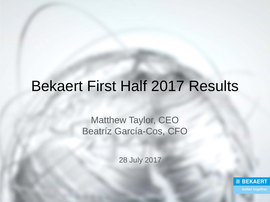## Bekaert First Half 2017 Results

## Matthew Taylor, CEO Beatríz García-Cos, CFO

28 July 2017

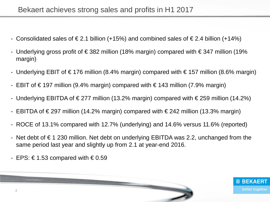- Consolidated sales of €2.1 billion (+15%) and combined sales of €2.4 billion (+14%)
- Underlying gross profit of  $\epsilon$  382 million (18% margin) compared with  $\epsilon$  347 million (19% margin)
- Underlying EBIT of €176 million (8.4% margin) compared with €157 million (8.6% margin)
- EBIT of €197 million (9.4% margin) compared with €143 million (7.9% margin)
- Underlying EBITDA of €277 million (13.2% margin) compared with €259 million (14.2%)
- EBITDA of €297 million (14.2% margin) compared with €242 million (13.3% margin)
- ROCE of 13.1% compared with 12.7% (underlying) and 14.6% versus 11.6% (reported)
- Net debt of  $\epsilon$  1 230 million. Net debt on underlying EBITDA was 2.2, unchanged from the same period last year and slightly up from 2.1 at year-end 2016.
- EPS: €1.53 compared with  $€0.59$



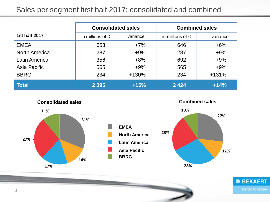#### Sales per segment first half 2017: consolidated and combined

|                      | <b>Consolidated sales</b> |          | <b>Combined sales</b>     |          |
|----------------------|---------------------------|----------|---------------------------|----------|
| <b>1st half 2017</b> | in millions of $\epsilon$ | variance | in millions of $\epsilon$ | variance |
| <b>EMEA</b>          | 653                       | $+7%$    | 646                       | $+6\%$   |
| <b>North America</b> | 287                       | $+9%$    | 287                       | $+9%$    |
| Latin America        | 356                       | $+8%$    | 692                       | $+9%$    |
| Asia Pacific         | 565                       | $+9%$    | 565                       | $+9%$    |
| <b>BBRG</b>          | 234                       | $+130%$  | 234                       | $+131%$  |
| <b>Total</b>         | 2 0 9 5                   | $+15%$   | 2 4 2 4                   | $+14%$   |



**Combined sales**

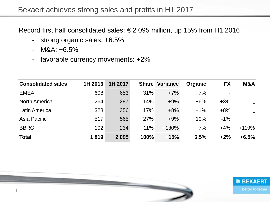#### Bekaert achieves strong sales and profits in H1 2017

Record first half consolidated sales: € 2 095 million, up 15% from H1 2016

- strong organic sales: +6.5%
- $-M&A: +6.5\%$
- favorable currency movements: +2%

| <b>Consolidated sales</b> | 1H 2016 | 1H 2017 |            | <b>Share Variance</b> | <b>Organic</b> | <b>FX</b>      | M&A            |
|---------------------------|---------|---------|------------|-----------------------|----------------|----------------|----------------|
| <b>EMEA</b>               | 608     | 653     | 31%        | $+7%$                 | $+7%$          | $\blacksquare$ |                |
| <b>North America</b>      | 264     | 287     | 14%        | $+9%$                 | $+6%$          | $+3%$          | $\blacksquare$ |
| <b>Latin America</b>      | 328     | 356     | 17%        | $+8%$                 | $+1\%$         | $+8%$          |                |
| Asia Pacific              | 517     | 565     | <b>27%</b> | $+9%$                 | $+10%$         | $-1%$          |                |
| <b>BBRG</b>               | 102     | 234     | 11%        | $+130%$               | $+7%$          | $+4%$          | $+119%$        |
| <b>Total</b>              | 1819    | 2 0 9 5 | 100%       | $+15%$                | $+6.5%$        | $+2%$          | $+6.5%$        |

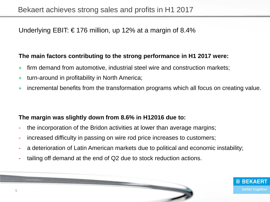#### Underlying EBIT: €176 million, up 12% at a margin of 8.4%

#### **The main factors contributing to the strong performance in H1 2017 were:**

- + firm demand from automotive, industrial steel wire and construction markets;
- + turn-around in profitability in North America;
- + incremental benefits from the transformation programs which all focus on creating value.

#### **The margin was slightly down from 8.6% in H12016 due to:**

- the incorporation of the Bridon activities at lower than average margins;
- increased difficulty in passing on wire rod price increases to customers;
- a deterioration of Latin American markets due to political and economic instability;
- tailing off demand at the end of Q2 due to stock reduction actions.

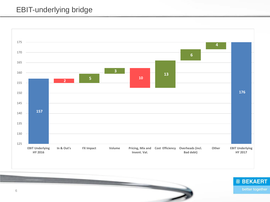#### EBIT-underlying bridge



<u> The State State Commercial Commercial Commercial Commercial Commercial Commercial Commercial Commercial Commercial Commercial Commercial Commercial Commercial Commercial Commercial Commercial Commercial Commercial Commer</u>

better together

**@ BEKAERT**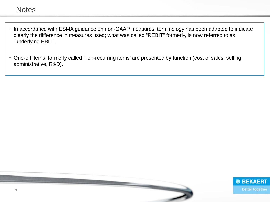- − In accordance with ESMA guidance on non-GAAP measures, terminology has been adapted to indicate clearly the difference in measures used; what was called "REBIT" formerly, is now referred to as "underlying EBIT".
- − One-off items, formerly called 'non-recurring items' are presented by function (cost of sales, selling, administrative, R&D).



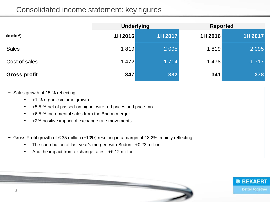|                      | <b>Underlying</b> |         | <b>Reported</b> |         |
|----------------------|-------------------|---------|-----------------|---------|
| (in mio $\epsilon$ ) | 1H 2016           | 1H 2017 | 1H 2016         | 1H 2017 |
| <b>Sales</b>         | 1819              | 2 0 9 5 | 1819            | 2 0 9 5 |
| Cost of sales        | $-1472$           | $-1714$ | $-1478$         | $-1717$ |
| <b>Gross profit</b>  | 347               | 382     | 341             | 378     |

- − Sales growth of 15 % reflecting:
	- +1 % organic volume growth
	- +5.5 % net of passed-on higher wire rod prices and price-mix
	- +6.5 % incremental sales from the Bridon merger
	- +2% positive impact of exchange rate movements.
- − Gross Profit growth of € 35 million (+10%) resulting in a margin of 18.2%, mainly reflecting
	- The contribution of last year's merger with Bridon : +€ 23 million
	- And the impact from exchange rates :  $+ \in 12$  million



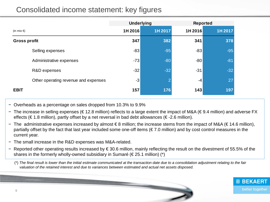|                                      | <b>Underlying</b> |                | <b>Reported</b> |         |
|--------------------------------------|-------------------|----------------|-----------------|---------|
| (in mio $\epsilon$ )                 | 1H 2016           | 1H 2017        | 1H 2016         | 1H 2017 |
| <b>Gross profit</b>                  | 347               | 382            | 341             | 378     |
| Selling expenses                     | $-83$             | $-95$          | $-83$           | $-95$   |
| Administrative expenses              | $-73$             | $-80$          | $-80$           | $-81$   |
| R&D expenses                         | $-32$             | $-32$          | $-31$           | $-32$   |
| Other operating revenue and expenses | $-3$              | $\overline{2}$ | $-4$            | 27      |
| <b>EBIT</b>                          | 157               | 176            | 143             | 197     |

− Overheads as a percentage on sales dropped from 10.3% to 9.9%

- − The increase in selling expenses (€ 12.8 million) reflects to a large extent the impact of M&A (€ 9.4 million) and adverse FX effects ( $\in$  1.8 million), partly offset by a net reversal in bad debt allowances ( $\in$ -2.6 million).
- − The administrative expenses increased by almost € 8 million; the increase stems from the impact of M&A (€ 14.6 million), partially offset by the fact that last year included some one-off items (€ 7.0 million) and by cost control measures in the current year.
- The small increase in the R&D expenses was M&A-related.
- − Reported other operating results increased by € 30.6 million, mainly reflecting the result on the divestment of 55.5% of the shares in the formerly wholly-owned subsidiary in Sumaré ( $\epsilon$ 25.1 million) (\*)

(\*) *The final result is lower than the initial estimate communicated at the transaction date due to a consolidation adjustment relating to the fair valuation of the retained interest and due to variances between estimated and actual net assets disposed.*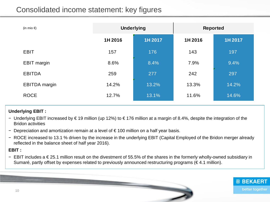| (in mio $\epsilon$ ) |         | <b>Underlying</b> | <b>Reported</b> |         |  |
|----------------------|---------|-------------------|-----------------|---------|--|
|                      | 1H 2016 | 1H 2017           | 1H 2016         | 1H 2017 |  |
| <b>EBIT</b>          | 157     | 176               | 143             | 197     |  |
| <b>EBIT</b> margin   | 8.6%    | 8.4%              | 7.9%            | 9.4%    |  |
| <b>EBITDA</b>        | 259     | 277               | 242             | 297     |  |
| <b>EBITDA</b> margin | 14.2%   | 13.2%             | 13.3%           | 14.2%   |  |
| <b>ROCE</b>          | 12.7%   | 13.1%             | 11.6%           | 14.6%   |  |

#### **Underlying EBIT :**

- − Underlying EBIT increased by € 19 million (up 12%) to € 176 million at a margin of 8.4%, despite the integration of the Bridon activities
- − Depreciation and amortization remain at a level of € 100 million on a half year basis.
- − ROCE increased to 13.1 % driven by the increase in the underlying EBIT (Capital Employed of the Bridon merger already reflected in the balance sheet of half year 2016).

#### **EBIT :**

− EBIT includes a € 25.1 million result on the divestment of 55.5% of the shares in the formerly wholly-owned subsidiary in Sumaré, partly offset by expenses related to previously announced restructuring programs ( $\epsilon$ 4.1 million).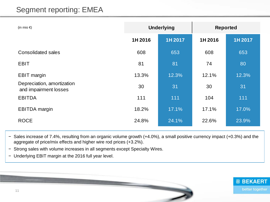## Segment reporting: EMEA

| (in mio $\epsilon$ )                                | <b>Underlying</b> |         | <b>Reported</b> |         |
|-----------------------------------------------------|-------------------|---------|-----------------|---------|
|                                                     | 1H 2016           | 1H 2017 | 1H 2016         | 1H 2017 |
| <b>Consolidated sales</b>                           | 608               | 653     | 608             | 653     |
| <b>EBIT</b>                                         | 81                | 81      | 74              | 80      |
| <b>EBIT</b> margin                                  | 13.3%             | 12.3%   | 12.1%           | 12.3%   |
| Depreciation, amortization<br>and impairment losses | 30                | 31      | 30              | 31      |
| <b>EBITDA</b>                                       | 111               | 111     | 104             | 111     |
| <b>EBITDA</b> margin                                | 18.2%             | 17.1%   | 17.1%           | 17.0%   |
| <b>ROCE</b>                                         | 24.8%             | 24.1%   | 22.6%           | 23.9%   |

− Sales increase of 7.4%, resulting from an organic volume growth (+4.0%), a small positive currency impact (+0.3%) and the aggregate of price/mix effects and higher wire rod prices (+3.2%).

− Strong sales with volume increases in all segments except Specialty Wires.

− Underlying EBIT margin at the 2016 full year level.



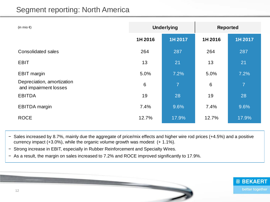## Segment reporting: North America

| (in mio $\epsilon$ )                                | <b>Underlying</b> |                | <b>Reported</b> |                |
|-----------------------------------------------------|-------------------|----------------|-----------------|----------------|
|                                                     | 1H 2016           | 1H 2017        | 1H 2016         | 1H 2017        |
| <b>Consolidated sales</b>                           | 264               | 287            | 264             | 287            |
| <b>EBIT</b>                                         | 13                | 21             | 13              | 21             |
| <b>EBIT</b> margin                                  | 5.0%              | 7.2%           | 5.0%            | 7.2%           |
| Depreciation, amortization<br>and impairment losses | 6                 | $\overline{7}$ | $6\phantom{1}$  | $\overline{7}$ |
| <b>EBITDA</b>                                       | 19                | 28             | 19              | 28             |
| <b>EBITDA</b> margin                                | 7.4%              | 9.6%           | 7.4%            | 9.6%           |
| <b>ROCE</b>                                         | 12.7%             | 17.9%          | 12.7%           | 17.9%          |

− Sales increased by 8.7%, mainly due the aggregate of price/mix effects and higher wire rod prices (+4.5%) and a positive currency impact (+3.0%), while the organic volume growth was modest (+ 1.1%).

− Strong increase in EBIT, especially in Rubber Reinforcement and Specialty Wires.

− As a result, the margin on sales increased to 7.2% and ROCE improved significantly to 17.9%.

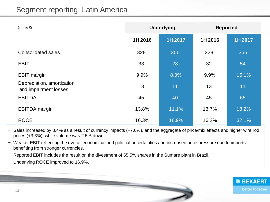| (in mio $\epsilon$ )                                |         | <b>Underlying</b> |         | <b>Reported</b> |
|-----------------------------------------------------|---------|-------------------|---------|-----------------|
|                                                     | 1H 2016 | 1H 2017           | 1H 2016 | 1H 2017         |
| <b>Consolidated sales</b>                           | 328     | 356               | 328     | 356             |
| <b>EBIT</b>                                         | 33      | 28                | 32      | 54              |
| <b>EBIT</b> margin                                  | 9.9%    | 8.0%              | 9.9%    | 15.1%           |
| Depreciation, amortization<br>and impairment losses | 13      | 11                | 13      | 11              |
| <b>EBITDA</b>                                       | 45      | 40                | 45      | 65              |
| <b>EBITDA</b> margin                                | 13.8%   | 11.1%             | 13.7%   | 18.2%           |
| <b>ROCE</b>                                         | 16.3%   | 16.9%             | 16.2%   | 32.1%           |

− Sales increased by 8.4% as a result of currency impacts (+7.6%), and the aggregate of price/mix effects and higher wire rod prices (+3.3%), while volume was 2.5% down.

− Weaker EBIT reflecting the overall economical and political uncertainties and increased price pressure due to imports benefiting from stronger currencies.

− Reported EBIT includes the result on the divestment of 55.5% shares in the Sumaré plant in Brazil.

− Underlying ROCE improved to 16.9%.

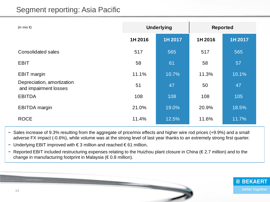| (in mio $\epsilon$ )                                | <b>Underlying</b> |         | <b>Reported</b> |         |
|-----------------------------------------------------|-------------------|---------|-----------------|---------|
|                                                     | 1H 2016           | 1H 2017 | 1H 2016         | 1H 2017 |
| <b>Consolidated sales</b>                           | 517               | 565     | 517             | 565     |
| <b>EBIT</b>                                         | 58                | 61      | 58              | 57      |
| <b>EBIT</b> margin                                  | 11.1%             | 10.7%   | 11.3%           | 10.1%   |
| Depreciation, amortization<br>and impairment losses | 51                | 47      | 50              | 47      |
| <b>EBITDA</b>                                       | 108               | 108     | 108             | 105     |
| <b>EBITDA</b> margin                                | 21.0%             | 19.0%   | 20.9%           | 18.5%   |
| <b>ROCE</b>                                         | 11.4%             | 12.5%   | 11.6%           | 11.7%   |

− Sales increase of 9.3% resulting from the aggregate of price/mix effects and higher wire rod prices (+9.9%) and a small adverse FX impact (-0.6%), while volume was at the strong level of last year thanks to an extremely strong first quarter.

− Underlying EBIT improved with € 3 million and reached € 61 million,

− Reported EBIT included restructuring expenses relating to the Huizhou plant closure in China (€ 2.7 million) and to the change in manufacturing footprint in Malaysia (€ 0.8 million).

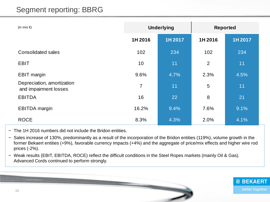## Segment reporting: BBRG

| (in mio $\epsilon$ )                                | <b>Underlying</b> |         | <b>Reported</b> |         |
|-----------------------------------------------------|-------------------|---------|-----------------|---------|
|                                                     | 1H 2016           | 1H 2017 | 1H 2016         | 1H 2017 |
| <b>Consolidated sales</b>                           | 102               | 234     | 102             | 234     |
| <b>EBIT</b>                                         | 10                | 11      | $\overline{2}$  | 11      |
| <b>EBIT margin</b>                                  | 9.6%              | 4.7%    | 2.3%            | 4.5%    |
| Depreciation, amortization<br>and impairment losses | 7                 | 11      | 5               | 11      |
| <b>EBITDA</b>                                       | 16                | 22      | 8               | 21      |
| <b>EBITDA</b> margin                                | 16.2%             | 9.4%    | 7.6%            | 9.1%    |
| <b>ROCE</b>                                         | 8.3%              | 4.3%    | 2.0%            | 4.1%    |

- − The 1H 2016 numbers did not include the Bridon entities.
- − Sales increase of 130%, predominantly as a result of the incorporation of the Bridon entities (119%), volume growth in the former Bekaert entities (+9%), favorable currency impacts (+4%) and the aggregate of price/mix effects and higher wire rod prices (-2%).
- − Weak results (EBIT, EBITDA, ROCE) reflect the difficult conditions in the Steel Ropes markets (mainly Oil & Gas). Advanced Cords continued to perform strongly.

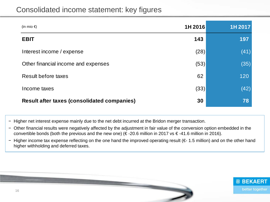| (in mio $\epsilon$ )                               | 1H 2016 | 1H 2017 |
|----------------------------------------------------|---------|---------|
| <b>EBIT</b>                                        | 143     | 197     |
| Interest income / expense                          | (28)    | (41)    |
| Other financial income and expenses                | (53)    | (35)    |
| Result before taxes                                | 62      | 120     |
| Income taxes                                       | (33)    | (42)    |
| <b>Result after taxes (consolidated companies)</b> | 30      | 78      |

− Higher net interest expense mainly due to the net debt incurred at the Bridon merger transaction.

- − Other financial results were negatively affected by the adjustment in fair value of the conversion option embedded in the convertible bonds (both the previous and the new one) ( $\epsilon$ -20.6 million in 2017 vs  $\epsilon$ -41.6 million in 2016).
- − Higher income tax expense reflecting on the one hand the improved operating result (€- 1.5 million) and on the other hand higher withholding and deferred taxes.

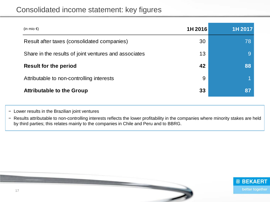| (in mio $\epsilon$ )                                  | 1H 2016 | 1H 2017 |
|-------------------------------------------------------|---------|---------|
| Result after taxes (consolidated companies)           | 30      | 78      |
| Share in the results of joint ventures and associates | 13      |         |
| <b>Result for the period</b>                          | 42      | 88      |
| Attributable to non-controlling interests             | 9       |         |
| <b>Attributable to the Group</b>                      | 33      | 87      |

− Lower results in the Brazilian joint ventures

− Results attributable to non-controlling interests reflects the lower profitability in the companies where minority stakes are held by third parties; this relates mainly to the companies in Chile and Peru and to BBRG.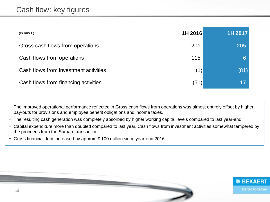| (in mio $\epsilon$ )                  | 1H 2016 | 1H 2017 |
|---------------------------------------|---------|---------|
| Gross cash flows from operations      | 201     | 205     |
| Cash flows from operations            | 115     |         |
| Cash flows from investment activities | (1)     | (81)    |
| Cash flows from financing activities  | (51)    | 17      |

− The improved operational performance reflected in Gross cash flows from operations was almost entirely offset by higher pay-outs for provisions and employee benefit obligations and income taxes.

- − The resulting cash generation was completely absorbed by higher working capital levels compared to last year-end.
- − Capital expenditure more than doubled compared to last year, Cash flows from investment activities somewhat tempered by the proceeds from the Sumaré transaction.
- − Gross financial debt increased by approx. € 100 million since year-end 2016.

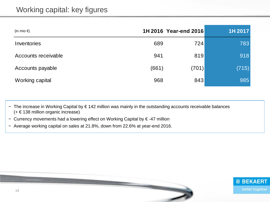| (in mio $\epsilon$ ) |       | 1H 2016 Year-end 2016 | 1H 2017 |
|----------------------|-------|-----------------------|---------|
| Inventories          | 689   | 724                   | 783     |
| Accounts receivable  | 941   | 819                   | 918     |
| Accounts payable     | (661) | (701)                 | (715)   |
| Working capital      | 968   | 843                   | 985     |

− The increase in Working Capital by € 142 million was mainly in the outstanding accounts receivable balances (+ € 138 million organic increase)

- − Currency movements had a lowering effect on Working Capital by € -47 million
- − Average working capital on sales at 21.8%, down from 22.6% at year-end 2016.

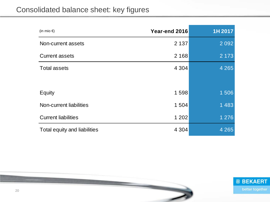## Consolidated balance sheet: key figures

| (in mio $\epsilon$ )         | Year-end 2016 | 1H 2017 |
|------------------------------|---------------|---------|
| Non-current assets           | 2 1 3 7       | 2 0 9 2 |
| <b>Current assets</b>        | 2 1 6 8       | 2 1 7 3 |
| <b>Total assets</b>          | 4 3 0 4       | 4 2 6 5 |
|                              |               |         |
| Equity                       | 1598          | 1506    |
| Non-current liabilities      | 1504          | 1 4 8 3 |
| <b>Current liabilities</b>   | 1 202         | 1 2 7 6 |
| Total equity and liabilities | 4 3 0 4       | 4 2 6 5 |

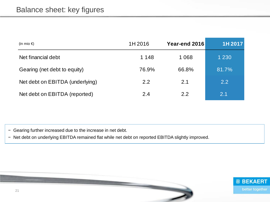| (in mio $\epsilon$ )            | 1H 2016 | Year-end 2016 | 1H 2017 |
|---------------------------------|---------|---------------|---------|
| Net financial debt              | 1 1 4 8 | 1 0 6 8       | 1 2 3 0 |
| Gearing (net debt to equity)    | 76.9%   | 66.8%         | 81.7%   |
| Net debt on EBITDA (underlying) | 2.2     | 2.1           | 2.2     |
| Net debt on EBITDA (reported)   | 2.4     | 2.2           | 2.1     |

− Gearing further increased due to the increase in net debt.

− Net debt on underlying EBITDA remained flat while net debt on reported EBITDA slightly improved.

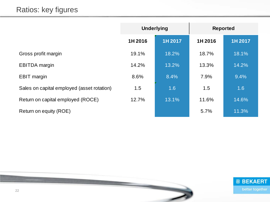|                                            | <b>Underlying</b> |         | <b>Reported</b> |         |
|--------------------------------------------|-------------------|---------|-----------------|---------|
|                                            | 1H 2016           | 1H 2017 | 1H 2016         | 1H 2017 |
| Gross profit margin                        | 19.1%             | 18.2%   | 18.7%           | 18.1%   |
| <b>EBITDA</b> margin                       | 14.2%             | 13.2%   | 13.3%           | 14.2%   |
| <b>EBIT</b> margin                         | 8.6%              | 8.4%    | 7.9%            | 9.4%    |
| Sales on capital employed (asset rotation) | 1.5               | 1.6     | 1.5             | 1.6     |
| Return on capital employed (ROCE)          | 12.7%             | 13.1%   | 11.6%           | 14.6%   |
| Return on equity (ROE)                     |                   |         | 5.7%            | 11.3%   |

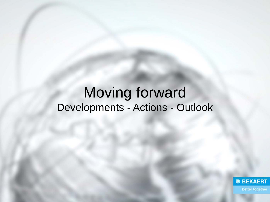## Moving forward Developments - Actions - Outlook

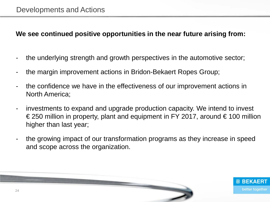#### **We see continued positive opportunities in the near future arising from:**

- the underlying strength and growth perspectives in the automotive sector;
- the margin improvement actions in Bridon-Bekaert Ropes Group;
- the confidence we have in the effectiveness of our improvement actions in North America;
- investments to expand and upgrade production capacity. We intend to invest € 250 million in property, plant and equipment in FY 2017, around  $€ 100$  million higher than last year;
- the growing impact of our transformation programs as they increase in speed and scope across the organization.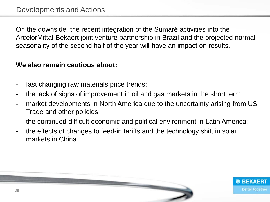On the downside, the recent integration of the Sumaré activities into the ArcelorMittal-Bekaert joint venture partnership in Brazil and the projected normal seasonality of the second half of the year will have an impact on results.

#### **We also remain cautious about:**

- fast changing raw materials price trends;
- the lack of signs of improvement in oil and gas markets in the short term;
- market developments in North America due to the uncertainty arising from US Trade and other policies;
- the continued difficult economic and political environment in Latin America;
- the effects of changes to feed-in tariffs and the technology shift in solar markets in China.

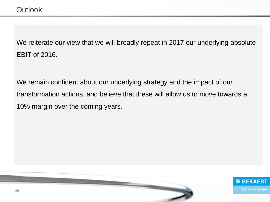We reiterate our view that we will broadly repeat in 2017 our underlying absolute EBIT of 2016.

We remain confident about our underlying strategy and the impact of our transformation actions, and believe that these will allow us to move towards a 10% margin over the coming years.

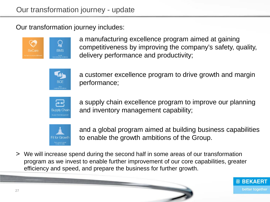Our transformation journey includes:



a manufacturing excellence program aimed at gaining competitiveness by improving the company's safety, quality, delivery performance and productivity;



a customer excellence program to drive growth and margin performance;



a supply chain excellence program to improve our planning and inventory management capability;



and a global program aimed at building business capabilities to enable the growth ambitions of the Group.

> We will increase spend during the second half in some areas of our transformation program as we invest to enable further improvement of our core capabilities, greater efficiency and speed, and prepare the business for further growth.

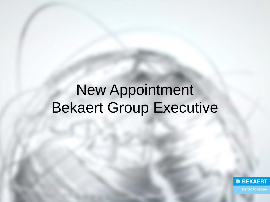# New Appointment Bekaert Group Executive

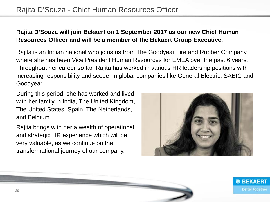#### **Rajita D'Souza will join Bekaert on 1 September 2017 as our new Chief Human Resources Officer and will be a member of the Bekaert Group Executive.**

Rajita is an Indian national who joins us from The Goodyear Tire and Rubber Company, where she has been Vice President Human Resources for EMEA over the past 6 years. Throughout her career so far, Rajita has worked in various HR leadership positions with increasing responsibility and scope, in global companies like General Electric, SABIC and Goodyear.

During this period, she has worked and lived with her family in India, The United Kingdom, The United States, Spain, The Netherlands, and Belgium.

Rajita brings with her a wealth of operational and strategic HR experience which will be very valuable, as we continue on the transformational journey of our company.

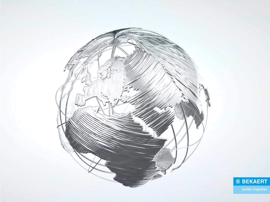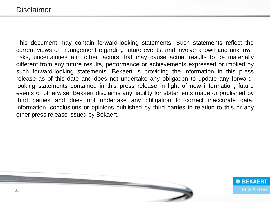This document may contain forward-looking statements. Such statements reflect the current views of management regarding future events, and involve known and unknown risks, uncertainties and other factors that may cause actual results to be materially different from any future results, performance or achievements expressed or implied by such forward-looking statements. Bekaert is providing the information in this press release as of this date and does not undertake any obligation to update any forwardlooking statements contained in this press release in light of new information, future events or otherwise. Bekaert disclaims any liability for statements made or published by third parties and does not undertake any obligation to correct inaccurate data, information, conclusions or opinions published by third parties in relation to this or any other press release issued by Bekaert.